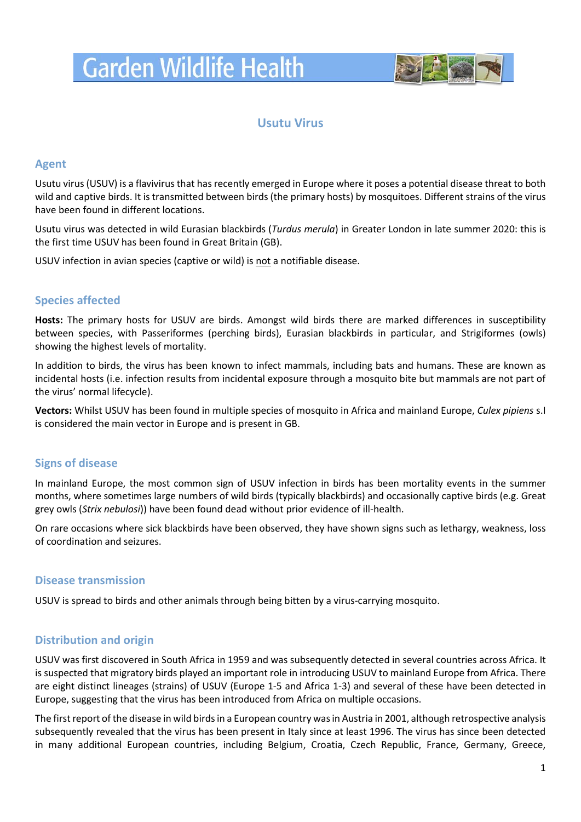# **Garden Wildlife Health**



## **Usutu Virus**

#### **Agent**

Usutu virus (USUV) is a flavivirus that has recently emerged in Europe where it poses a potential disease threat to both wild and captive birds. It is transmitted between birds (the primary hosts) by mosquitoes. Different strains of the virus have been found in different locations.

Usutu virus was detected in wild Eurasian blackbirds (*Turdus merula*) in Greater London in late summer 2020: this is the first time USUV has been found in Great Britain (GB).

USUV infection in avian species (captive or wild) is not a notifiable disease.

### **Species affected**

**Hosts:** The primary hosts for USUV are birds. Amongst wild birds there are marked differences in susceptibility between species, with Passeriformes (perching birds), Eurasian blackbirds in particular, and Strigiformes (owls) showing the highest levels of mortality.

In addition to birds, the virus has been known to infect mammals, including bats and humans. These are known as incidental hosts (i.e. infection results from incidental exposure through a mosquito bite but mammals are not part of the virus' normal lifecycle).

**Vectors:** Whilst USUV has been found in multiple species of mosquito in Africa and mainland Europe, *Culex pipiens* s.I is considered the main vector in Europe and is present in GB.

### **Signs of disease**

In mainland Europe, the most common sign of USUV infection in birds has been mortality events in the summer months, where sometimes large numbers of wild birds (typically blackbirds) and occasionally captive birds (e.g. Great grey owls (*Strix nebulosi*)) have been found dead without prior evidence of ill-health.

On rare occasions where sick blackbirds have been observed, they have shown signs such as lethargy, weakness, loss of coordination and seizures.

#### **Disease transmission**

USUV is spread to birds and other animals through being bitten by a virus-carrying mosquito.

### **Distribution and origin**

USUV was first discovered in South Africa in 1959 and was subsequently detected in several countries across Africa. It is suspected that migratory birds played an important role in introducing USUV to mainland Europe from Africa. There are eight distinct lineages (strains) of USUV (Europe 1-5 and Africa 1-3) and several of these have been detected in Europe, suggesting that the virus has been introduced from Africa on multiple occasions.

The first report of the disease in wild birds in a European country wasin Austria in 2001, although retrospective analysis subsequently revealed that the virus has been present in Italy since at least 1996. The virus has since been detected in many additional European countries, including Belgium, Croatia, Czech Republic, France, Germany, Greece,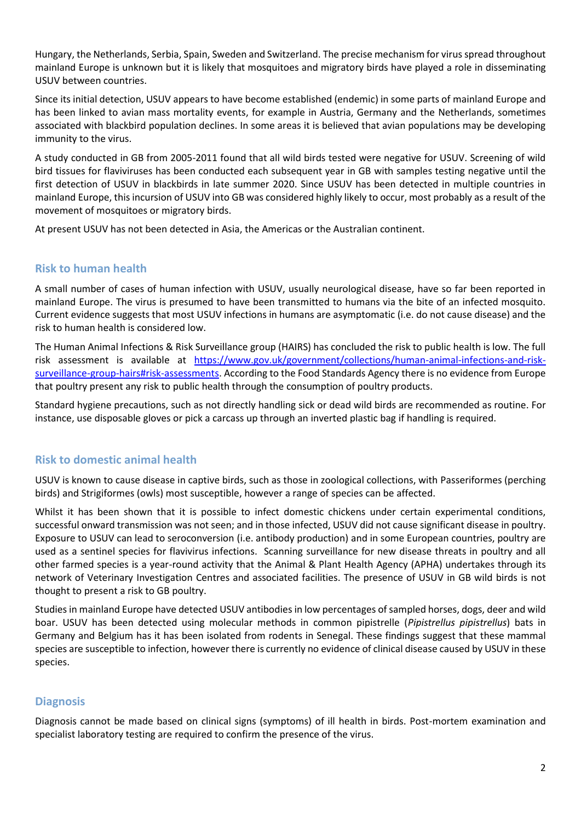Hungary, the Netherlands, Serbia, Spain, Sweden and Switzerland. The precise mechanism for virus spread throughout mainland Europe is unknown but it is likely that mosquitoes and migratory birds have played a role in disseminating USUV between countries.

Since its initial detection, USUV appears to have become established (endemic) in some parts of mainland Europe and has been linked to avian mass mortality events, for example in Austria, Germany and the Netherlands, sometimes associated with blackbird population declines. In some areas it is believed that avian populations may be developing immunity to the virus.

A study conducted in GB from 2005-2011 found that all wild birds tested were negative for USUV. Screening of wild bird tissues for flaviviruses has been conducted each subsequent year in GB with samples testing negative until the first detection of USUV in blackbirds in late summer 2020. Since USUV has been detected in multiple countries in mainland Europe, this incursion of USUV into GB was considered highly likely to occur, most probably as a result of the movement of mosquitoes or migratory birds.

At present USUV has not been detected in Asia, the Americas or the Australian continent.

### **Risk to human health**

A small number of cases of human infection with USUV, usually neurological disease, have so far been reported in mainland Europe. The virus is presumed to have been transmitted to humans via the bite of an infected mosquito. Current evidence suggests that most USUV infections in humans are asymptomatic (i.e. do not cause disease) and the risk to human health is considered low.

The Human Animal Infections & Risk Surveillance group (HAIRS) has concluded the risk to public health is low. The full risk assessment is available at [https://www.gov.uk/government/collections/human-animal-infections-and-risk](https://www.gov.uk/government/collections/human-animal-infections-and-risk-surveillance-group-hairs#risk-assessments)[surveillance-group-hairs#risk-assessments.](https://www.gov.uk/government/collections/human-animal-infections-and-risk-surveillance-group-hairs#risk-assessments) According to the Food Standards Agency there is no evidence from Europe that poultry present any risk to public health through the consumption of poultry products.

Standard hygiene precautions, such as not directly handling sick or dead wild birds are recommended as routine. For instance, use disposable gloves or pick a carcass up through an inverted plastic bag if handling is required.

### **Risk to domestic animal health**

USUV is known to cause disease in captive birds, such as those in zoological collections, with Passeriformes (perching birds) and Strigiformes (owls) most susceptible, however a range of species can be affected.

Whilst it has been shown that it is possible to infect domestic chickens under certain experimental conditions, successful onward transmission was not seen; and in those infected, USUV did not cause significant disease in poultry. Exposure to USUV can lead to seroconversion (i.e. antibody production) and in some European countries, poultry are used as a sentinel species for flavivirus infections. Scanning surveillance for new disease threats in poultry and all other farmed species is a year-round activity that the Animal & Plant Health Agency (APHA) undertakes through its network of Veterinary Investigation Centres and associated facilities. The presence of USUV in GB wild birds is not thought to present a risk to GB poultry.

Studies in mainland Europe have detected USUV antibodies in low percentages of sampled horses, dogs, deer and wild boar. USUV has been detected using molecular methods in common pipistrelle (*Pipistrellus pipistrellus*) bats in Germany and Belgium has it has been isolated from rodents in Senegal. These findings suggest that these mammal species are susceptible to infection, however there is currently no evidence of clinical disease caused by USUV in these species.

### **Diagnosis**

Diagnosis cannot be made based on clinical signs (symptoms) of ill health in birds. Post-mortem examination and specialist laboratory testing are required to confirm the presence of the virus.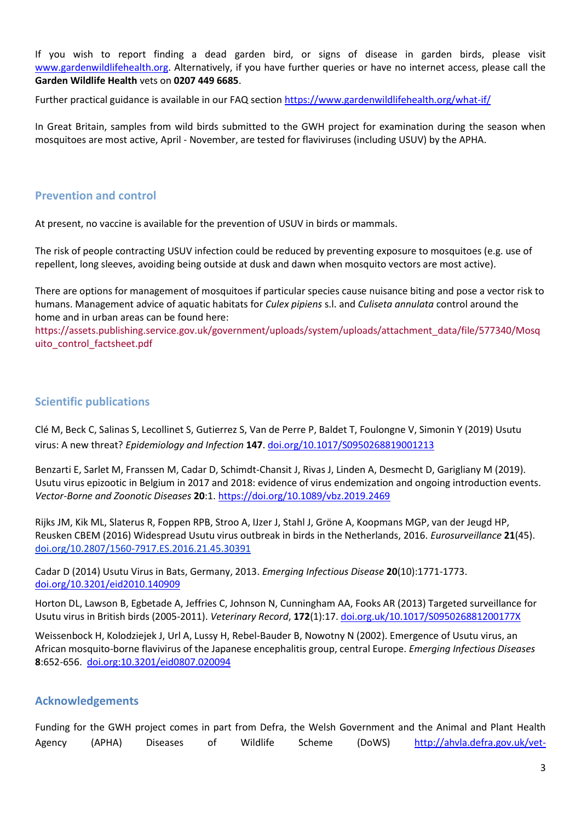If you wish to report finding a dead garden bird, or signs of disease in garden birds, please visit [www.gardenwildlifehealth.org.](http://www.gardenwildlifehealth.org/) Alternatively, if you have further queries or have no internet access, please call the **Garden Wildlife Health** vets on **0207 449 6685**.

Further practical guidance is available in our FAQ sectio[n https://www.gardenwildlifehealth.org/what-if/](https://www.gardenwildlifehealth.org/what-if/)

In Great Britain, samples from wild birds submitted to the GWH project for examination during the season when mosquitoes are most active, April - November, are tested for flaviviruses (including USUV) by the APHA.

#### **Prevention and control**

At present, no vaccine is available for the prevention of USUV in birds or mammals.

The risk of people contracting USUV infection could be reduced by preventing exposure to mosquitoes (e.g. use of repellent, long sleeves, avoiding being outside at dusk and dawn when mosquito vectors are most active).

There are options for management of mosquitoes if particular species cause nuisance biting and pose a vector risk to humans. Management advice of aquatic habitats for *Culex pipiens* s.l. and *Culiseta annulata* control around the home and in urban areas can be found here:

[https://assets.publishing.service.gov.uk/government/uploads/system/uploads/attachment\\_data/file/577340/Mosq](https://assets.publishing.service.gov.uk/government/uploads/system/uploads/attachment_data/file/577340/Mosquito_control_factsheet.pdf) [uito\\_control\\_factsheet.pdf](https://assets.publishing.service.gov.uk/government/uploads/system/uploads/attachment_data/file/577340/Mosquito_control_factsheet.pdf)

#### **Scientific publications**

Clé M, Beck C, Salinas S, Lecollinet S, Gutierrez S, Van de Perre P, Baldet T, Foulongne V, Simonin Y (2019) Usutu virus: A new threat? *Epidemiology and Infection* **147**. [doi.org/10.1017/S0950268819001213](https://doi.org/10.1017/S0950268819001213)

Benzarti E, Sarlet M, Franssen M, Cadar D, Schimdt-Chansit J, Rivas J, Linden A, Desmecht D, Garigliany M (2019). Usutu virus epizootic in Belgium in 2017 and 2018: evidence of virus endemization and ongoing introduction events. *Vector-Borne and Zoonotic Diseases* **20**:1. <https://doi.org/10.1089/vbz.2019.2469>

Rijks JM, Kik ML, Slaterus R, Foppen RPB, Stroo A, IJzer J, Stahl J, Gröne A, Koopmans MGP, van der Jeugd HP, Reusken CBEM (2016) Widespread Usutu virus outbreak in birds in the Netherlands, 2016. *Eurosurveillance* **21**(45). [doi.org/10.2807/1560-7917.ES.2016.21.45.30391](https://dx.doi.org/10.2807%2F1560-7917.ES.2016.21.45.30391)

Cadar D (2014) Usutu Virus in Bats, Germany, 2013. *Emerging Infectious Disease* **20**(10):1771-1773. [doi.org/10.3201/eid2010.140909](https://pubmed.ncbi.nlm.nih.gov/25271769/)

Horton DL, Lawson B, Egbetade A, Jeffries C, Johnson N, Cunningham AA, Fooks AR (2013) Targeted surveillance for Usutu virus in British birds (2005-2011). *Veterinary Record*, **172**(1):17. [doi.org.uk/10.1017/S095026881200177X](https://veterinaryrecord.bmj.com/content/172/1/17.2)

Weissenbock H, Kolodziejek J, Url A, Lussy H, Rebel-Bauder B, Nowotny N (2002). Emergence of Usutu virus, an African mosquito-borne flavivirus of the Japanese encephalitis group, central Europe. *Emerging Infectious Diseases* **8**:652-656. [doi.org:10.3201/eid0807.020094](https://wwwnc.cdc.gov/eid/article/8/7/02-0094_article)

### **Acknowledgements**

Funding for the GWH project comes in part from Defra, the Welsh Government and the Animal and Plant Health Agency (APHA) Diseases of Wildlife Scheme (DoWS) [http://ahvla.defra.gov.uk/vet-](http://ahvla.defra.gov.uk/vet-gateway/surveillance/seg/wildlife.htm)